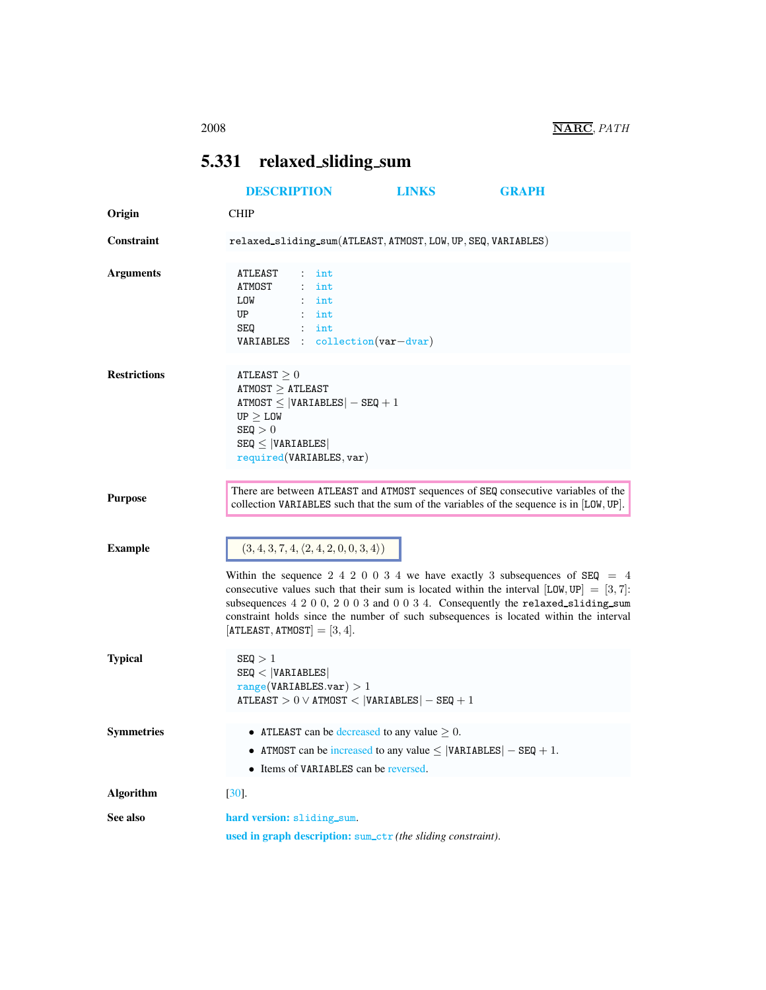## <span id="page-0-0"></span>5.331 relaxed sliding sum

<span id="page-0-1"></span>

|                     | <b>DESCRIPTION</b>                                                                                                                                                                                                                                                                                                                                                                                                                                                    | <b>LINKS</b> | <b>GRAPH</b> |
|---------------------|-----------------------------------------------------------------------------------------------------------------------------------------------------------------------------------------------------------------------------------------------------------------------------------------------------------------------------------------------------------------------------------------------------------------------------------------------------------------------|--------------|--------------|
| Origin              | <b>CHIP</b>                                                                                                                                                                                                                                                                                                                                                                                                                                                           |              |              |
| Constraint          | relaxed_sliding_sum(ATLEAST, ATMOST, LOW, UP, SEQ, VARIABLES)                                                                                                                                                                                                                                                                                                                                                                                                         |              |              |
| <b>Arguments</b>    | ATLEAST<br>int<br>ATMOST<br>$:$ int<br>LOW<br>$\therefore$ int<br>UP<br>$:$ int<br>SEQ<br>$:$ int<br>VARIABLES : collection (var-dvar)                                                                                                                                                                                                                                                                                                                                |              |              |
| <b>Restrictions</b> | ATLEAST $\geq 0$<br>$ATMOST \geq ATLEAST$<br>$ATMOST \leq  VARIABLES  - SEQ + 1$<br>UP > LOW<br>SEQ > 0<br>$SEQ \leq  VARIABLES $<br>required(VARIABLES, var)                                                                                                                                                                                                                                                                                                         |              |              |
| <b>Purpose</b>      | There are between ATLEAST and ATMOST sequences of SEQ consecutive variables of the<br>collection VARIABLES such that the sum of the variables of the sequence is in [LOW, UP].                                                                                                                                                                                                                                                                                        |              |              |
| <b>Example</b>      | $(3, 4, 3, 7, 4, \langle 2, 4, 2, 0, 0, 3, 4 \rangle)$<br>Within the sequence 2 4 2 0 0 3 4 we have exactly 3 subsequences of $SEQ = 4$<br>consecutive values such that their sum is located within the interval $[LOW, UP] = [3, 7]$ :<br>subsequences $4\ 2\ 0\ 0$ , $2\ 0\ 0\ 3$ and $0\ 0\ 3\ 4$ . Consequently the relaxed sliding sum<br>constraint holds since the number of such subsequences is located within the interval<br>$[ATLEAST, ATMOST] = [3, 4].$ |              |              |
| <b>Typical</b>      | SEQ > 1<br>SEQ <  VARIABLES <br>range(VARIABLES.var) > 1<br>$ATLEAST > 0 \vee ATMOST <  VARIABLES  - SEQ + 1$                                                                                                                                                                                                                                                                                                                                                         |              |              |
| <b>Symmetries</b>   | • ATLEAST can be decreased to any value $\geq 0$ .<br>• ATMOST can be increased to any value $\leq$  VARIABLES  - SEQ + 1.<br>• Items of VARIABLES can be reversed.                                                                                                                                                                                                                                                                                                   |              |              |
| <b>Algorithm</b>    | $[30]$ .                                                                                                                                                                                                                                                                                                                                                                                                                                                              |              |              |
| See also            | hard version: sliding_sum.<br>used in graph description: sum_ctr (the sliding constraint).                                                                                                                                                                                                                                                                                                                                                                            |              |              |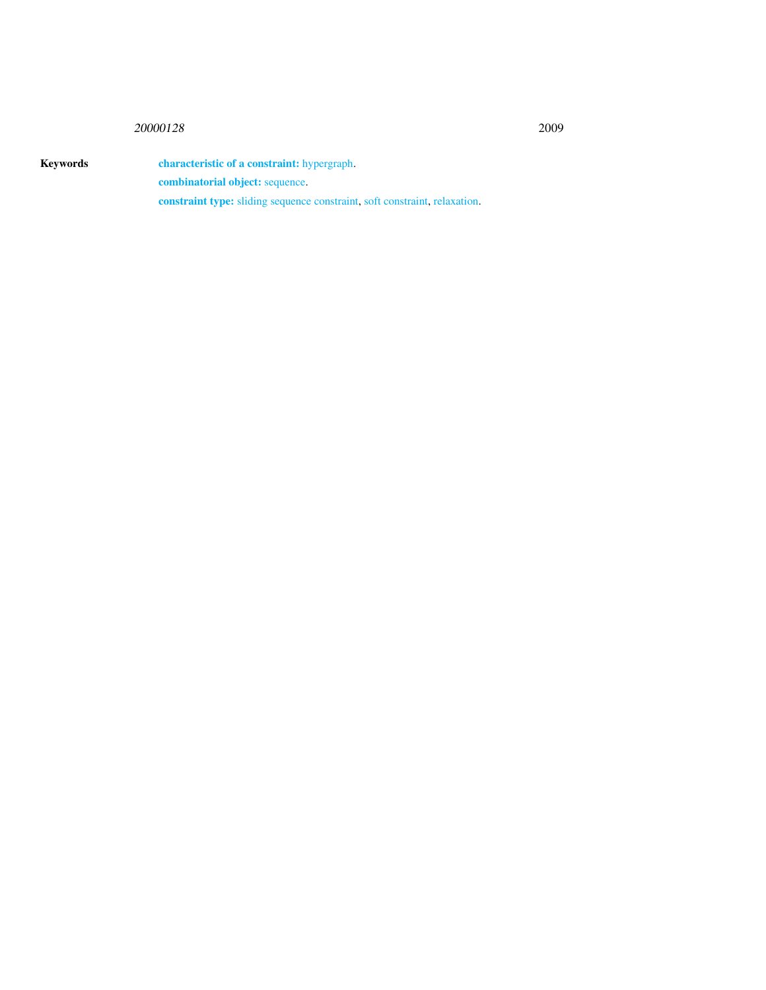## <sup>20000128</sup> 2009

Keywords characteristic of a constraint: hypergraph. combinatorial object: sequence. constraint type: sliding sequence constraint, soft constraint, relaxation.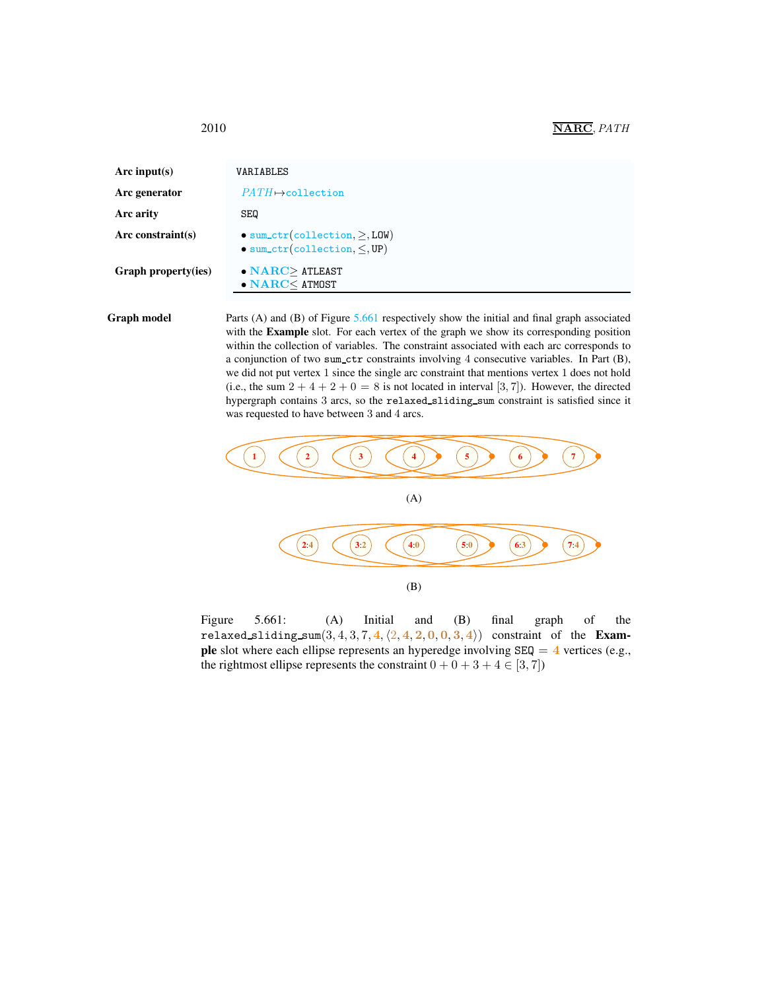<span id="page-2-0"></span>

| VARIABLES                                                                                 |
|-------------------------------------------------------------------------------------------|
| $PATH \rightarrow$ collection                                                             |
| <b>SEQ</b>                                                                                |
| $\bullet$ sum_ctr(collection, $\geq$ , LOW)<br>$\bullet$ sum_ctr(collection, $\leq$ , UP) |
| $\bullet$ NARC > ATLEAST<br>$\bullet$ NARC $<$ ATMOST                                     |
|                                                                                           |

Graph model Parts (A) and (B) of Figure [5.661](#page-2-1) respectively show the initial and final graph associated with the **Example** slot. For each vertex of the graph we show its corresponding position within the collection of variables. The constraint associated with each arc corresponds to a conjunction of two sum ctr constraints involving 4 consecutive variables. In Part (B), we did not put vertex 1 since the single arc constraint that mentions vertex 1 does not hold (i.e., the sum  $2 + 4 + 2 + 0 = 8$  is not located in interval [3, 7]). However, the directed hypergraph contains 3 arcs, so the relaxed sliding sum constraint is satisfied since it was requested to have between 3 and 4 arcs.



<span id="page-2-1"></span>Figure 5.661: (A) Initial and (B) final graph of the relaxed sliding sum $(3, 4, 3, 7, 4, \langle 2, 4, 2, 0, 0, 3, 4 \rangle)$  constraint of the Exam**ple** slot where each ellipse represents an hyperedge involving  $SEQ = 4$  vertices (e.g., the rightmost ellipse represents the constraint  $0 + 0 + 3 + 4 \in [3, 7]$ )